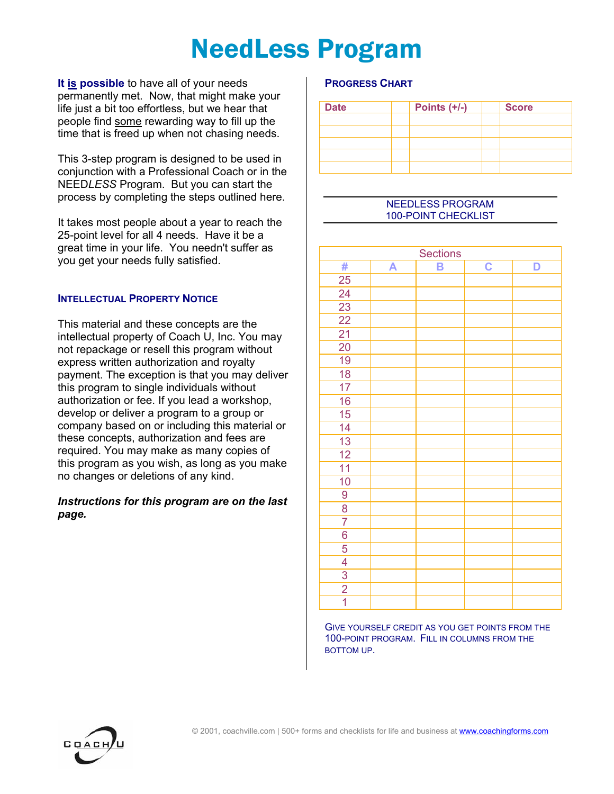# NeedLess Program

**It is possible** to have all of your needs permanently met. Now, that might make your life just a bit too effortless, but we hear that people find some rewarding way to fill up the time that is freed up when not chasing needs.

This 3-step program is designed to be used in conjunction with a Professional Coach or in the NEED*LESS* Program. But you can start the process by completing the steps outlined here.

It takes most people about a year to reach the 25-point level for all 4 needs. Have it be a great time in your life. You needn't suffer as you get your needs fully satisfied.

# **INTELLECTUAL PROPERTY NOTICE**

This material and these concepts are the intellectual property of Coach U, Inc. You may not repackage or resell this program without express written authorization and royalty payment. The exception is that you may deliver this program to single individuals without authorization or fee. If you lead a workshop, develop or deliver a program to a group or company based on or including this material or these concepts, authorization and fees are required. You may make as many copies of this program as you wish, as long as you make no changes or deletions of any kind.

## *Instructions for this program are on the last page.*

# **PROGRESS CHART**

| <b>Date</b> | Points $(+/-)$ |  | <b>Score</b> |
|-------------|----------------|--|--------------|
|             |                |  |              |
|             |                |  |              |
|             |                |  |              |
|             |                |  |              |
|             |                |  |              |

## NEEDLESS PROGRAM 100-POINT CHECKLIST

| <b>Sections</b> |   |   |   |   |  |  |
|-----------------|---|---|---|---|--|--|
| #               | A | B | C | D |  |  |
| 25              |   |   |   |   |  |  |
| 24              |   |   |   |   |  |  |
| $\overline{23}$ |   |   |   |   |  |  |
| $\overline{22}$ |   |   |   |   |  |  |
| $\overline{21}$ |   |   |   |   |  |  |
| $\overline{20}$ |   |   |   |   |  |  |
| 19              |   |   |   |   |  |  |
| 18              |   |   |   |   |  |  |
| 17              |   |   |   |   |  |  |
| 16              |   |   |   |   |  |  |
| 15              |   |   |   |   |  |  |
| 14              |   |   |   |   |  |  |
| $\overline{13}$ |   |   |   |   |  |  |
| $\overline{12}$ |   |   |   |   |  |  |
| $\overline{11}$ |   |   |   |   |  |  |
| 10              |   |   |   |   |  |  |
| 9               |   |   |   |   |  |  |
| $\overline{8}$  |   |   |   |   |  |  |
| $\overline{7}$  |   |   |   |   |  |  |
| $\overline{6}$  |   |   |   |   |  |  |
| $\overline{5}$  |   |   |   |   |  |  |
| $\overline{4}$  |   |   |   |   |  |  |
| $\frac{3}{2}$   |   |   |   |   |  |  |
|                 |   |   |   |   |  |  |
|                 |   |   |   |   |  |  |

GIVE YOURSELF CREDIT AS YOU GET POINTS FROM THE 100-POINT PROGRAM. FILL IN COLUMNS FROM THE BOTTOM UP.

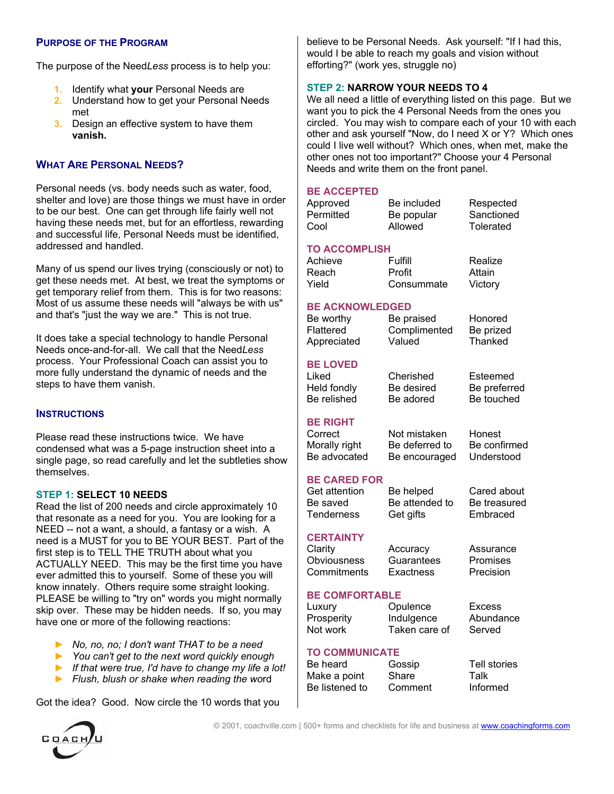## **PURPOSE OF THE PROGRAM**

The purpose of the Need*Less* process is to help you:

- **1.** Identify what **your** Personal Needs are
- **2.** Understand how to get your Personal Needs met
- **3.** Design an effective system to have them **vanish.**

## **WHAT ARE PERSONAL NEEDS?**

Personal needs (vs. body needs such as water, food, shelter and love) are those things we must have in order to be our best. One can get through life fairly well not having these needs met, but for an effortless, rewarding and successful life, Personal Needs must be identified, addressed and handled.

Many of us spend our lives trying (consciously or not) to get these needs met. At best, we treat the symptoms or get temporary relief from them. This is for two reasons: Most of us assume these needs will "always be with us" and that's "just the way we are." This is not true.

It does take a special technology to handle Personal Needs once-and-for-all. We call that the Need*Less*  process. Your Professional Coach can assist you to more fully understand the dynamic of needs and the steps to have them vanish.

## **INSTRUCTIONS**

Please read these instructions twice. We have condensed what was a 5-page instruction sheet into a single page, so read carefully and let the subtleties show themselves.

#### **STEP 1: SELECT 10 NEEDS**

Read the list of 200 needs and circle approximately 10 that resonate as a need for you. You are looking for a NEED -- not a want, a should, a fantasy or a wish. A need is a MUST for you to BE YOUR BEST. Part of the first step is to TELL THE TRUTH about what you ACTUALLY NEED. This may be the first time you have ever admitted this to yourself. Some of these you will know innately. Others require some straight looking. PLEASE be willing to "try on" words you might normally skip over. These may be hidden needs. If so, you may have one or more of the following reactions:

- **►** *No, no, no; I don't want THAT to be a need*
- **►** *You can't get to the next word quickly enough*
- **►** *If that were true, I'd have to change my life a lot!*
- **►** *Flush, blush or shake when reading the wo*rd

Got the idea? Good. Now circle the 10 words that you



believe to be Personal Needs. Ask yourself: "If I had this, would I be able to reach my goals and vision without efforting?" (work yes, struggle no)

## **STEP 2: NARROW YOUR NEEDS TO 4**

We all need a little of everything listed on this page. But we want you to pick the 4 Personal Needs from the ones you circled. You may wish to compare each of your 10 with each other and ask yourself "Now, do I need X or Y? Which ones could I live well without? Which ones, when met, make the other ones not too important?" Choose your 4 Personal Needs and write them on the front panel.

### **BE ACCEPTED**

| Approved<br>Permitted<br>Cool                                         | Be included<br>Be popular<br>Allowed            | Respected<br>Sanctioned<br>Tolerated    |
|-----------------------------------------------------------------------|-------------------------------------------------|-----------------------------------------|
| <b>TO ACCOMPLISH</b><br>Achieve<br>Reach<br>Yield                     | Fulfill<br>Profit<br>Consummate                 | Realize<br>Attain<br>Victory            |
| <b>BE ACKNOWLEDGED</b><br>Be worthy<br>Flattered<br>Appreciated       | Be praised<br>Complimented<br>Valued            | Honored<br>Be prized<br>Thanked         |
| <b>BE LOVED</b><br>Liked<br><b>Held fondly</b><br>Be relished         | Cherished<br>Be desired<br>Be adored            | Esteemed<br>Be preferred<br>Be touched  |
| <b>BE RIGHT</b><br>Correct<br>Morally right<br>Be advocated           | Not mistaken<br>Be deferred to<br>Be encouraged | Honest<br>Be confirmed<br>Understood    |
| <b>BE CARED FOR</b><br>Get attention<br>Be saved<br><b>Tenderness</b> | Be helped<br>Be attended to<br>Get gifts        | Cared about<br>Be treasured<br>Embraced |
| <b>CERTAINTY</b><br>Clarity<br>Obviousness<br>Commitments             | Accuracy<br>Guarantees<br><b>Exactness</b>      | Assurance<br>Promises<br>Precision      |
| <b>BE COMFORTABLE</b><br>Luxury<br>Prosperity<br>Not work             | <b>Excess</b><br>Abundance<br>Served            |                                         |
| <b>TO COMMUNICATE</b><br>Be heard<br>Make a point                     | Gossip<br>Share                                 | <b>Tell stories</b><br>Talk             |

Be listened to Comment Informed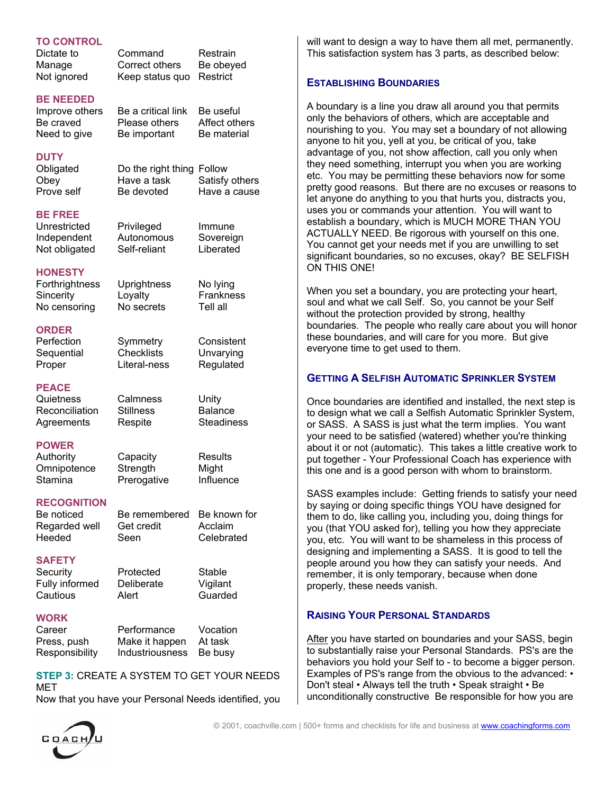## **TO CONTROL**

Dictate to Command Restrain Manage **Correct others** Be obeyed Not ignored Keep status quo Restrict

## **BE NEEDED**

Improve others Be a critical link Be useful Be craved Please others Affect others Need to give Be important Be material

**DUTY** 

Obligated Do the right thing Follow Obey **Have a task** Satisfy others Prove self Be devoted Have a cause

#### **BE FREE**

Unrestricted Privileged Immune

Independent Autonomous Sovereign Not obligated Self-reliant Liberated

**HONESTY**

Forthrightness Uprightness No lying Sincerity Loyalty Frankness No censoring No secrets Tell all

#### **ORDER**

**PEACE**

Perfection Symmetry Consistent Sequential Checklists Unvarying

Proper Literal-ness Regulated

Quietness Calmness Unity Reconciliation Stillness Balance Agreements Respite Steadiness

#### **POWER**

Authority Capacity Results Omnipotence Strength Might Stamina Prerogative Influence

#### **RECOGNITION**

Be noticed Be remembered Be known for Regarded well Get credit Acclaim Heeded Seen Celebrated

**SAFETY**  Security **Protected** Stable

Fully informed Deliberate Vigilant Cautious Alert Guarded

**WORK**

Career Performance Vocation Press, push Make it happen At task Responsibility Industriousness Be busy

**STEP 3:** CREATE A SYSTEM TO GET YOUR NEEDS MET Now that you have your Personal Needs identified, you

will want to design a way to have them all met, permanently. This satisfaction system has 3 parts, as described below:

#### **ESTABLISHING BOUNDARIES**

A boundary is a line you draw all around you that permits only the behaviors of others, which are acceptable and nourishing to you. You may set a boundary of not allowing anyone to hit you, yell at you, be critical of you, take advantage of you, not show affection, call you only when they need something, interrupt you when you are working etc. You may be permitting these behaviors now for some pretty good reasons. But there are no excuses or reasons to let anyone do anything to you that hurts you, distracts you, uses you or commands your attention. You will want to establish a boundary, which is MUCH MORE THAN YOU ACTUALLY NEED. Be rigorous with yourself on this one. You cannot get your needs met if you are unwilling to set significant boundaries, so no excuses, okay? BE SELFISH ON THIS ONE!

When you set a boundary, you are protecting your heart, soul and what we call Self. So, you cannot be your Self without the protection provided by strong, healthy boundaries. The people who really care about you will honor these boundaries, and will care for you more. But give everyone time to get used to them.

#### **GETTING A SELFISH AUTOMATIC SPRINKLER SYSTEM**

Once boundaries are identified and installed, the next step is to design what we call a Selfish Automatic Sprinkler System, or SASS. A SASS is just what the term implies. You want your need to be satisfied (watered) whether you're thinking about it or not (automatic). This takes a little creative work to put together - Your Professional Coach has experience with this one and is a good person with whom to brainstorm.

SASS examples include: Getting friends to satisfy your need by saying or doing specific things YOU have designed for them to do, like calling you, including you, doing things for you (that YOU asked for), telling you how they appreciate you, etc. You will want to be shameless in this process of designing and implementing a SASS. It is good to tell the people around you how they can satisfy your needs. And remember, it is only temporary, because when done properly, these needs vanish.

## **RAISING YOUR PERSONAL STANDARDS**

After you have started on boundaries and your SASS, begin to substantially raise your Personal Standards. PS's are the behaviors you hold your Self to - to become a bigger person. Examples of PS's range from the obvious to the advanced: • Don't steal • Always tell the truth • Speak straight • Be unconditionally constructive Be responsible for how you are